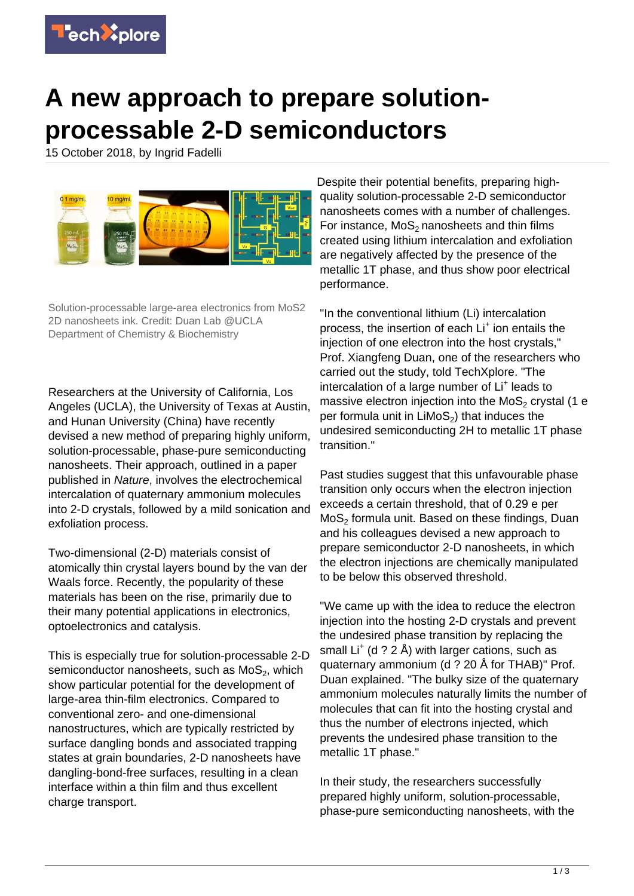

## **A new approach to prepare solutionprocessable 2-D semiconductors**

15 October 2018, by Ingrid Fadelli



Solution-processable large-area electronics from MoS2 2D nanosheets ink. Credit: Duan Lab @UCLA Department of Chemistry & Biochemistry

Researchers at the University of California, Los Angeles (UCLA), the University of Texas at Austin, and Hunan University (China) have recently devised a new method of preparing highly uniform, solution-processable, phase-pure semiconducting nanosheets. Their approach, outlined in a paper published in Nature, involves the electrochemical intercalation of quaternary ammonium molecules into 2-D crystals, followed by a mild sonication and exfoliation process.

Two-dimensional (2-D) materials consist of atomically thin crystal layers bound by the van der Waals force. Recently, the popularity of these materials has been on the rise, primarily due to their many potential applications in electronics, optoelectronics and catalysis.

This is especially true for solution-processable 2-D semiconductor nanosheets, such as  $\mathsf{MoS}_2$ , which show particular potential for the development of large-area thin-film electronics. Compared to conventional zero- and one-dimensional nanostructures, which are typically restricted by surface dangling bonds and associated trapping states at grain boundaries, 2-D nanosheets have dangling-bond-free surfaces, resulting in a clean interface within a thin film and thus excellent charge transport.

Despite their potential benefits, preparing highquality solution-processable 2-D semiconductor nanosheets comes with a number of challenges. For instance,  $MoS<sub>2</sub>$  nanosheets and thin films created using lithium intercalation and exfoliation are negatively affected by the presence of the metallic 1T phase, and thus show poor electrical performance.

"In the conventional lithium (Li) intercalation process, the insertion of each Li<sup>+</sup> ion entails the injection of one electron into the host crystals," Prof. Xiangfeng Duan, one of the researchers who carried out the study, told TechXplore. "The intercalation of a large number of Li<sup>+</sup> leads to massive electron injection into the  $MoS<sub>2</sub>$  crystal (1 e per formula unit in  $LiMoS<sub>2</sub>$ ) that induces the undesired semiconducting 2H to metallic 1T phase transition."

Past studies suggest that this unfavourable phase transition only occurs when the electron injection exceeds a certain threshold, that of 0.29 e per  $MoS<sub>2</sub>$  formula unit. Based on these findings, Duan and his colleagues devised a new approach to prepare semiconductor 2-D nanosheets, in which the electron injections are chemically manipulated to be below this observed threshold.

"We came up with the idea to reduce the electron injection into the hosting 2-D crystals and prevent the undesired phase transition by replacing the small Li<sup>+</sup> (d ? 2 Å) with larger cations, such as quaternary ammonium (d ? 20 Å for THAB)" Prof. Duan explained. "The bulky size of the quaternary ammonium molecules naturally limits the number of molecules that can fit into the hosting crystal and thus the number of electrons injected, which prevents the undesired phase transition to the metallic 1T phase."

In their study, the researchers successfully prepared highly uniform, solution-processable, phase-pure semiconducting nanosheets, with the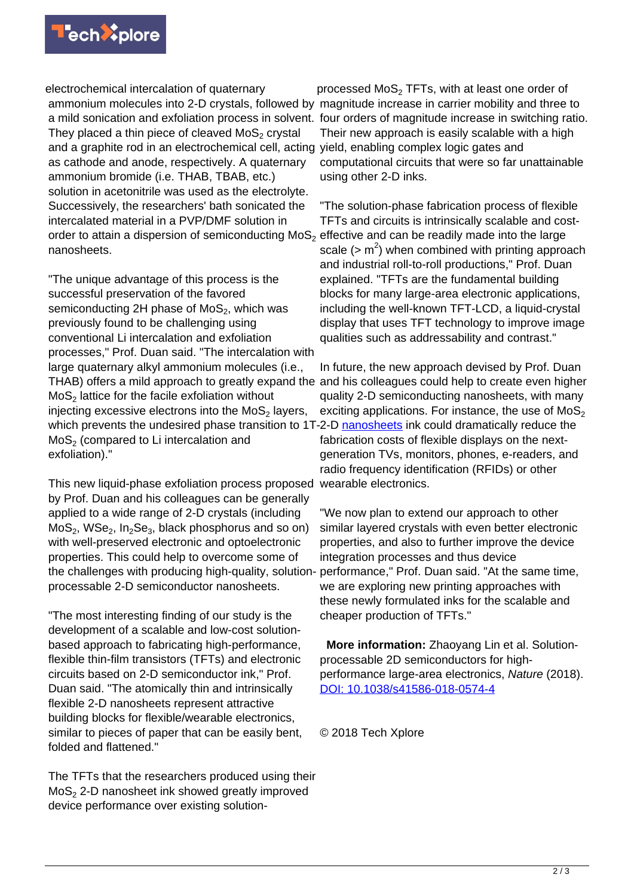

electrochemical intercalation of quaternary ammonium molecules into 2-D crystals, followed by magnitude increase in carrier mobility and three to They placed a thin piece of cleaved MoS $_{\rm 2}$  crystal and a graphite rod in an electrochemical cell, acting yield, enabling complex logic gates and as cathode and anode, respectively. A quaternary ammonium bromide (i.e. THAB, TBAB, etc.) solution in acetonitrile was used as the electrolyte. Successively, the researchers' bath sonicated the intercalated material in a PVP/DMF solution in order to attain a dispersion of semiconducting MoS<sub>2</sub> effective and can be readily made into the large nanosheets.

"The unique advantage of this process is the successful preservation of the favored semiconducting 2H phase of MoS<sub>2</sub>, which was previously found to be challenging using conventional Li intercalation and exfoliation processes," Prof. Duan said. "The intercalation with large quaternary alkyl ammonium molecules (i.e., THAB) offers a mild approach to greatly expand the  $\textsf{MoS}_2$  lattice for the facile exfoliation without injecting excessive electrons into the MoS $_{\rm 2}$  layers, which prevents the undesired phase transition to 1T-2-D [nanosheets](https://techxplore.com/tags/nanosheets/) ink could dramatically reduce the  $\mathsf{MoS}_2$  (compared to Li intercalation and exfoliation)."

This new liquid-phase exfoliation process proposed by Prof. Duan and his colleagues can be generally applied to a wide range of 2-D crystals (including  $\mathsf{MoS}_2$ ,  $\mathsf{WSe}_2$ ,  $\mathsf{In}_2\mathsf{Se}_3$ , black phosphorus and so on) with well-preserved electronic and optoelectronic properties. This could help to overcome some of the challenges with producing high-quality, solutionprocessable 2-D semiconductor nanosheets.

"The most interesting finding of our study is the development of a scalable and low-cost solutionbased approach to fabricating high-performance, flexible thin-film transistors (TFTs) and electronic circuits based on 2-D semiconductor ink," Prof. Duan said. "The atomically thin and intrinsically flexible 2-D nanosheets represent attractive building blocks for flexible/wearable electronics, similar to pieces of paper that can be easily bent, folded and flattened."

The TFTs that the researchers produced using their  $MoS<sub>2</sub>$  2-D nanosheet ink showed greatly improved device performance over existing solution-

a mild sonication and exfoliation process in solvent. four orders of magnitude increase in switching ratio. processed MoS $_2$  TFTs, with at least one order of Their new approach is easily scalable with a high computational circuits that were so far unattainable using other 2-D inks.

> "The solution-phase fabrication process of flexible TFTs and circuits is intrinsically scalable and costscale  $(> m<sup>2</sup>)$  when combined with printing approach and industrial roll-to-roll productions," Prof. Duan explained. "TFTs are the fundamental building blocks for many large-area electronic applications, including the well-known TFT-LCD, a liquid-crystal display that uses TFT technology to improve image qualities such as addressability and contrast."

> In future, the new approach devised by Prof. Duan and his colleagues could help to create even higher quality 2-D semiconducting nanosheets, with many exciting applications. For instance, the use of  $MoS<sub>2</sub>$ fabrication costs of flexible displays on the nextgeneration TVs, monitors, phones, e-readers, and radio frequency identification (RFIDs) or other wearable electronics.

"We now plan to extend our approach to other similar layered crystals with even better electronic properties, and also to further improve the device integration processes and thus device performance," Prof. Duan said. "At the same time, we are exploring new printing approaches with these newly formulated inks for the scalable and cheaper production of TFTs."

 **More information:** Zhaoyang Lin et al. Solutionprocessable 2D semiconductors for highperformance large-area electronics, Nature (2018). [DOI: 10.1038/s41586-018-0574-4](http://dx.doi.org/10.1038/s41586-018-0574-4)

© 2018 Tech Xplore